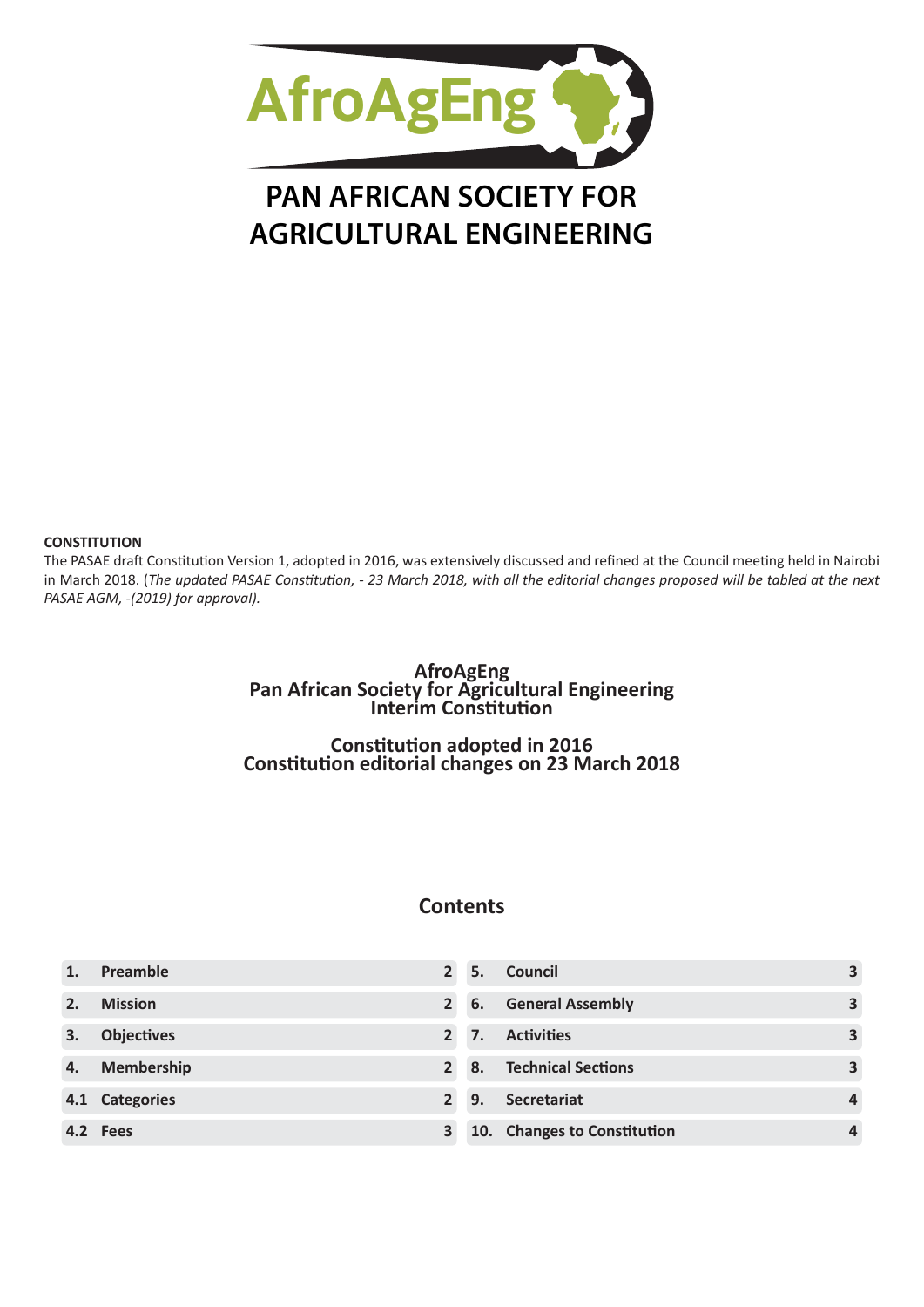

# **PAN AFRICAN SOCIETY FOR AGRICULTURAL ENGINEERING**

#### **CONSTITUTION**

The PASAE draft Constitution Version 1, adopted in 2016, was extensively discussed and refined at the Council meeting held in Nairobi in March 2018. (*The updated PASAE Constitution, - 23 March 2018, with all the editorial changes proposed will be tabled at the next PASAE AGM, -(2019) for approval).*

# **AfroAgEng Pan African Society for Agricultural Engineering Interim Constitution**

**Constitution adopted in 2016 Constitution editorial changes on 23 March 2018**

# **Contents**

|    | Preamble          |                | 5. | <b>Council</b>              | 3                       |
|----|-------------------|----------------|----|-----------------------------|-------------------------|
|    | <b>Mission</b>    |                | 6. | <b>General Assembly</b>     | $\overline{\mathbf{3}}$ |
|    | <b>Objectives</b> | $\overline{2}$ | 7. | <b>Activities</b>           | $\overline{\mathbf{3}}$ |
| 4. | <b>Membership</b> |                |    | 8. Technical Sections       | $\overline{\mathbf{3}}$ |
|    | 4.1 Categories    |                | 9. | Secretariat                 | 4                       |
|    | 4.2 Fees          | 3              |    | 10. Changes to Constitution | $\boldsymbol{A}$        |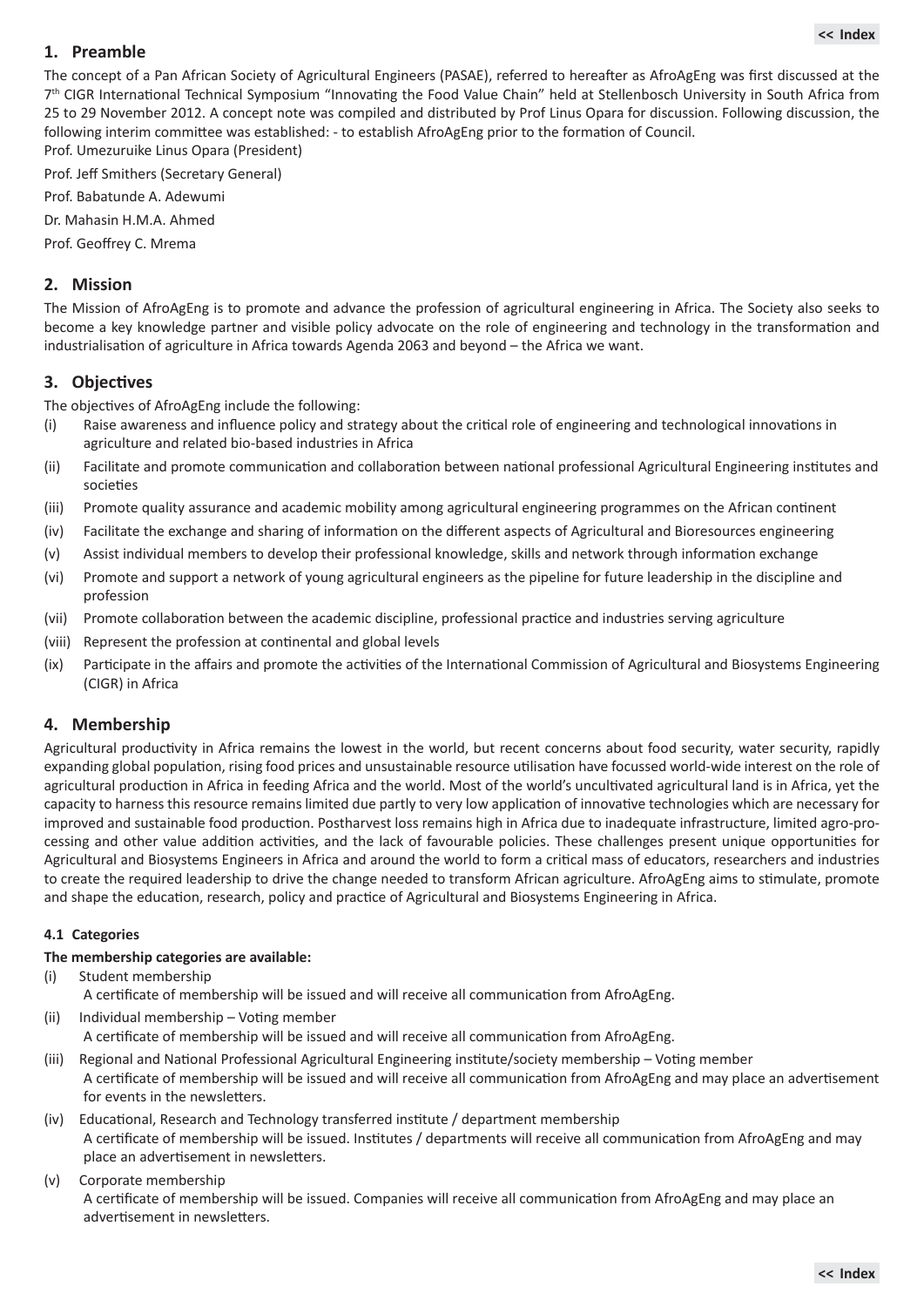# <span id="page-1-0"></span>**1. Preamble**

The concept of a Pan African Society of Agricultural Engineers (PASAE), referred to hereafter as AfroAgEng was first discussed at the 7th CIGR International Technical Symposium "Innovating the Food Value Chain" held at Stellenbosch University in South Africa from 25 to 29 November 2012. A concept note was compiled and distributed by Prof Linus Opara for discussion. Following discussion, the following interim committee was established: - to establish AfroAgEng prior to the formation of Council. Prof. Umezuruike Linus Opara (President)

Prof. Jeff Smithers (Secretary General)

Prof. Babatunde A. Adewumi

Dr. Mahasin H.M.A. Ahmed

Prof. Geoffrey C. Mrema

#### **2. Mission**

The Mission of AfroAgEng is to promote and advance the profession of agricultural engineering in Africa. The Society also seeks to become a key knowledge partner and visible policy advocate on the role of engineering and technology in the transformation and industrialisation of agriculture in Africa towards Agenda 2063 and beyond – the Africa we want.

#### **3. Objectives**

The objectives of AfroAgEng include the following:

- (i)  Raise awareness and influence policy and strategy about the critical role of engineering and technological innovations in agriculture and related bio-based industries in Africa
- (ii)  Facilitate and promote communication and collaboration between national professional Agricultural Engineering institutes and societies
- (iii)  Promote quality assurance and academic mobility among agricultural engineering programmes on the African continent
- (iv)  Facilitate the exchange and sharing of information on the different aspects of Agricultural and Bioresources engineering
- (v)  Assist individual members to develop their professional knowledge, skills and network through information exchange
- (vi)  Promote and support a network of young agricultural engineers as the pipeline for future leadership in the discipline and profession
- (vii)  Promote collaboration between the academic discipline, professional practice and industries serving agriculture
- (viii)  Represent the profession at continental and global levels
- (ix)  Participate in the affairs and promote the activities of the International Commission of Agricultural and Biosystems Engineering (CIGR) in Africa

#### **4. Membership**

Agricultural productivity in Africa remains the lowest in the world, but recent concerns about food security, water security, rapidly expanding global population, rising food prices and unsustainable resource utilisation have focussed world-wide interest on the role of agricultural production in Africa in feeding Africa and the world. Most of the world's uncultivated agricultural land is in Africa, yet the capacity to harness this resource remains limited due partly to very low application of innovative technologies which are necessary for improved and sustainable food production. Postharvest loss remains high in Africa due to inadequate infrastructure, limited agro-processing and other value addition activities, and the lack of favourable policies. These challenges present unique opportunities for Agricultural and Biosystems Engineers in Africa and around the world to form a critical mass of educators, researchers and industries to create the required leadership to drive the change needed to transform African agriculture. AfroAgEng aims to stimulate, promote and shape the education, research, policy and practice of Agricultural and Biosystems Engineering in Africa.

#### **4.1 Categories**

#### **The membership categories are available:**

- (i)  Student membership A certificate of membership will be issued and will receive all communication from AfroAgEng.
- (ii)  Individual membership Voting member A certificate of membership will be issued and will receive all communication from AfroAgEng.
- (iii)  Regional and National Professional Agricultural Engineering institute/society membership Voting member A certificate of membership will be issued and will receive all communication from AfroAgEng and may place an advertisement for events in the newsletters.
- (iv)  Educational, Research and Technology transferred institute / department membership A certificate of membership will be issued. Institutes / departments will receive all communication from AfroAgEng and may place an advertisement in newsletters.
- (v)  Corporate membership

A certificate of membership will be issued. Companies will receive all communication from AfroAgEng and may place an advertisement in newsletters.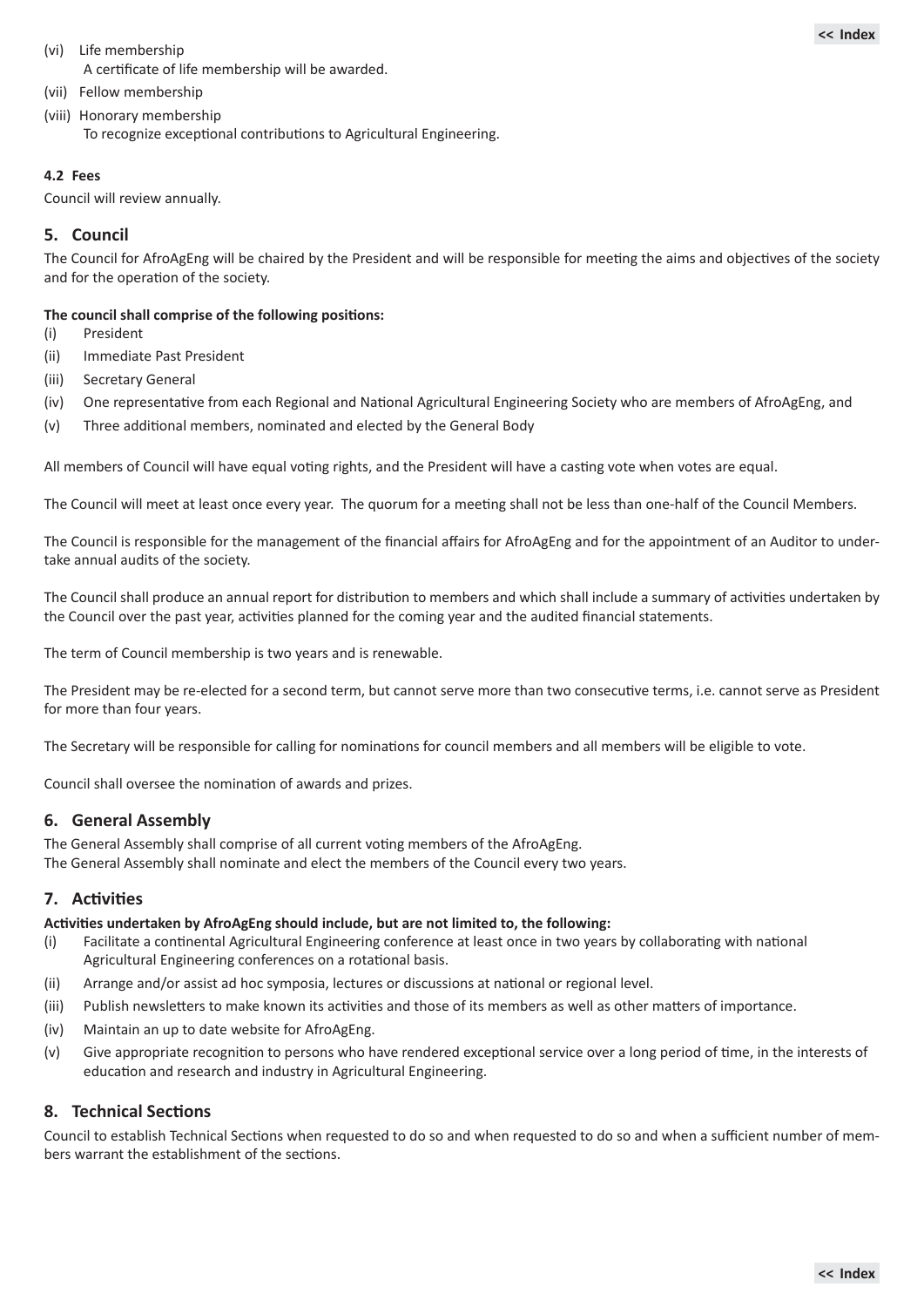- <span id="page-2-0"></span>(vi)  Life membership A certificate of life membership will be awarded.
- (vii)  Fellow membership
- (viii)  Honorary membership To recognize exceptional contributions to Agricultural Engineering.

## **4.2 Fees**

Council will review annually.

# **5. Council**

The Council for AfroAgEng will be chaired by the President and will be responsible for meeting the aims and objectives of the society and for the operation of the society.

#### **The council shall comprise of the following positions:**

- (i)  President
- (ii)  Immediate Past President
- (iii)  Secretary General
- (iv)  One representative from each Regional and National Agricultural Engineering Society who are members of AfroAgEng, and
- (v)  Three additional members, nominated and elected by the General Body

All members of Council will have equal voting rights, and the President will have a casting vote when votes are equal.

The Council will meet at least once every year. The quorum for a meeting shall not be less than one-half of the Council Members.

The Council is responsible for the management of the financial affairs for AfroAgEng and for the appointment of an Auditor to undertake annual audits of the society.

The Council shall produce an annual report for distribution to members and which shall include a summary of activities undertaken by the Council over the past year, activities planned for the coming year and the audited financial statements.

The term of Council membership is two years and is renewable.

The President may be re-elected for a second term, but cannot serve more than two consecutive terms, i.e. cannot serve as President for more than four years.

The Secretary will be responsible for calling for nominations for council members and all members will be eligible to vote.

Council shall oversee the nomination of awards and prizes.

# **6. General Assembly**

The General Assembly shall comprise of all current voting members of the AfroAgEng. The General Assembly shall nominate and elect the members of the Council every two years.

# **7. Activities**

#### **Activities undertaken by AfroAgEng should include, but are not limited to, the following:**

- (i)  Facilitate a continental Agricultural Engineering conference at least once in two years by collaborating with national Agricultural Engineering conferences on a rotational basis.
- (ii)  Arrange and/or assist ad hoc symposia, lectures or discussions at national or regional level.
- (iii)  Publish newsletters to make known its activities and those of its members as well as other matters of importance.
- (iv)  Maintain an up to date website for AfroAgEng.
- (v)  Give appropriate recognition to persons who have rendered exceptional service over a long period of time, in the interests of education and research and industry in Agricultural Engineering.

# **8. Technical Sections**

Council to establish Technical Sections when requested to do so and when requested to do so and when a sufficient number of members warrant the establishment of the sections.